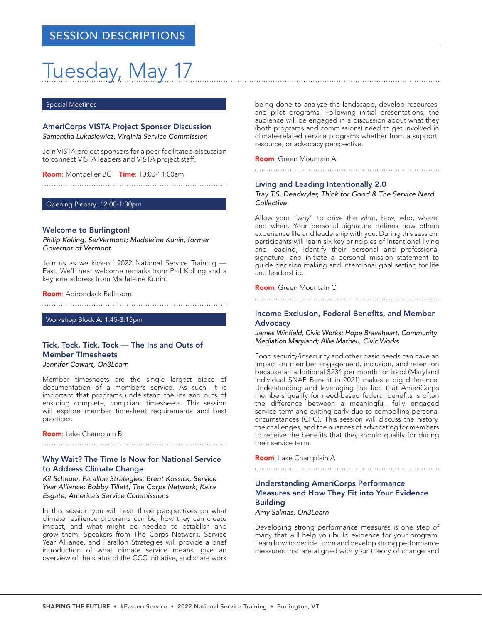# Tuesday, May 17

#### Special Meetings

AmeriCorps VISTA Project Sponsor Discussion *Samantha Lukasiewicz, Virginia Service Commission*

Join VISTA project sponsors for a peer facilitated discussion to connect VISTA leaders and VISTA project staff.

Room: Montpelier BC Time: 10:00-11:00am

Opening Plenary: 12:00-1:30pm

#### Welcome to Burlington!

*Philip Kolling, SerVermont; Madeleine Kunin, former Governor of Vermont*

Join us as we kick-off 2022 National Service Training — East. We'll hear welcome remarks from Phil Kolling and a keynote address from Madeleine Kunin.

Room: Adirondack Ballroom

Workshop Block A: 1:45-3:15pm

## Tick, Tock, Tick, Tock — The Ins and Outs of Member Timesheets

*Jennifer Cowart, On3Learn*

Member timesheets are the single largest piece of documentation of a member's service. As such, it is important that programs understand the ins and outs of ensuring complete, compliant timesheets. This session will explore member timesheet requirements and best practices.

Room: Lake Champlain B

#### Why Wait? The Time Is Now for National Service to Address Climate Change

*Kif Scheuer, Farallon Strategies; Brent Kossick, Service Year Alliance; Bobby Tillett, The Corps Network; Kaira Esgate, America's Service Commissions*

In this session you will hear three perspectives on what climate resilience programs can be, how they can create impact, and what might be needed to establish and grow them. Speakers from The Corps Network, Service Year Alliance, and Farallon Strategies will provide a brief introduction of what climate service means, give an overview of the status of the CCC initiative, and share work

being done to analyze the landscape, develop resources, and pilot programs. Following initial presentations, the audience will be engaged in a discussion about what they (both programs and commissions) need to get involved in climate-related service programs whether from a support, resource, or advocacy perspective.

#### Room: Green Mountain A

#### Living and Leading Intentionally 2.0

*Tray T.S. Deadwyler, Think for Good & The Service Nerd Collective*

Allow your "why" to drive the what, how, who, where, and when. Your personal signature defines how others experience life and leadership with you. During this session, participants will learn six key principles of intentional living and leading, identify their personal and professional signature, and initiate a personal mission statement to guide decision making and intentional goal setting for life and leadership.

#### Room: Green Mountain C

#### Income Exclusion, Federal Benefits, and Member **Advocacy**

James Winfield, Civic Works; Hope Braveheart, Community *Mediation Maryland; Allie Matheu, Civic Works*

Food security/insecurity and other basic needs can have an impact on member engagement, inclusion, and retention because an additional \$234 per month for food (Maryland Individual SNAP Benefit in 2021) makes a big difference. Understanding and leveraging the fact that AmeriCorps members qualify for need-based federal benefits is often the difference between a meaningful, fully engaged service term and exiting early due to compelling personal circumstances (CPC). This session will discuss the history, the challenges, and the nuances of advocating for members to receive the benefits that they should qualify for during their service term.

Room: Lake Champlain A

#### Understanding AmeriCorps Performance Measures and How They Fit into Your Evidence Building

*Amy Salinas, On3Learn*

Developing strong performance measures is one step of many that will help you build evidence for your program. Learn how to decide upon and develop strong performance measures that are aligned with your theory of change and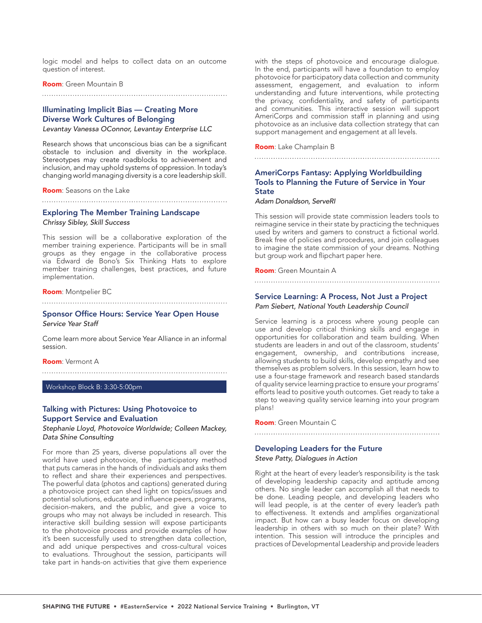logic model and helps to collect data on an outcome question of interest.

#### Room: Green Mountain B

#### 

### Illuminating Implicit Bias — Creating More Diverse Work Cultures of Belonging

*Levantay Vanessa OConnor, Levantay Enterprise LLC*

Research shows that unconscious bias can be a significant obstacle to inclusion and diversity in the workplace. Stereotypes may create roadblocks to achievement and inclusion, and may uphold systems of oppression. In today's changing world managing diversity is a core leadership skill.

#### Room: Seasons on the Lake

# Exploring The Member Training Landscape

*Chrissy Sibley, Skill Success*

This session will be a collaborative exploration of the member training experience. Participants will be in small groups as they engage in the collaborative process via Edward de Bono's Six Thinking Hats to explore member training challenges, best practices, and future implementation.

#### Room: Montpelier BC

#### Sponsor Office Hours: Service Year Open House *Service Year Staff*

Come learn more about Service Year Alliance in an informal session.

#### Room: Vermont A

Workshop Block B: 3:30-5:00pm

#### Talking with Pictures: Using Photovoice to Support Service and Evaluation

*Stephanie Lloyd, Photovoice Worldwide; Colleen Mackey, Data Shine Consulting*

For more than 25 years, diverse populations all over the world have used photovoice, the participatory method that puts cameras in the hands of individuals and asks them to reflect and share their experiences and perspectives. The powerful data (photos and captions) generated during a photovoice project can shed light on topics/issues and potential solutions, educate and influence peers, programs, decision-makers, and the public, and give a voice to groups who may not always be included in research. This interactive skill building session will expose participants to the photovoice process and provide examples of how it's been successfully used to strengthen data collection, and add unique perspectives and cross-cultural voices to evaluations. Throughout the session, participants will take part in hands-on activities that give them experience

with the steps of photovoice and encourage dialogue. In the end, participants will have a foundation to employ photovoice for participatory data collection and community assessment, engagement, and evaluation to inform understanding and future interventions, while protecting the privacy, confidentiality, and safety of participants and communities. This interactive session will support AmeriCorps and commission staff in planning and using photovoice as an inclusive data collection strategy that can support management and engagement at all levels.

Room: Lake Champlain B

#### AmeriCorps Fantasy: Applying Worldbuilding Tools to Planning the Future of Service in Your **State**

*Adam Donaldson, ServeRI*

This session will provide state commission leaders tools to reimagine service in their state by practicing the techniques used by writers and gamers to construct a fictional world. Break free of policies and procedures, and join colleagues to imagine the state commission of your dreams. Nothing but group work and flipchart paper here.

Room: Green Mountain A

#### 

#### Service Learning: A Process, Not Just a Project

*Pam Siebert, National Youth Leadership Council*

Service learning is a process where young people can use and develop critical thinking skills and engage in opportunities for collaboration and team building. When students are leaders in and out of the classroom, students' engagement, ownership, and contributions increase, allowing students to build skills, develop empathy and see themselves as problem solvers. In this session, learn how to use a four-stage framework and research based standards of quality service learning practice to ensure your programs' efforts lead to positive youth outcomes. Get ready to take a step to weaving quality service learning into your program plans!

Room: Green Mountain C

#### Developing Leaders for the Future

*Steve Patty, Dialogues in Action*

Right at the heart of every leader's responsibility is the task of developing leadership capacity and aptitude among others. No single leader can accomplish all that needs to be done. Leading people, and developing leaders who will lead people, is at the center of every leader's path to effectiveness. It extends and amplifies organizational impact. But how can a busy leader focus on developing leadership in others with so much on their plate? With intention. This session will introduce the principles and practices of Developmental Leadership and provide leaders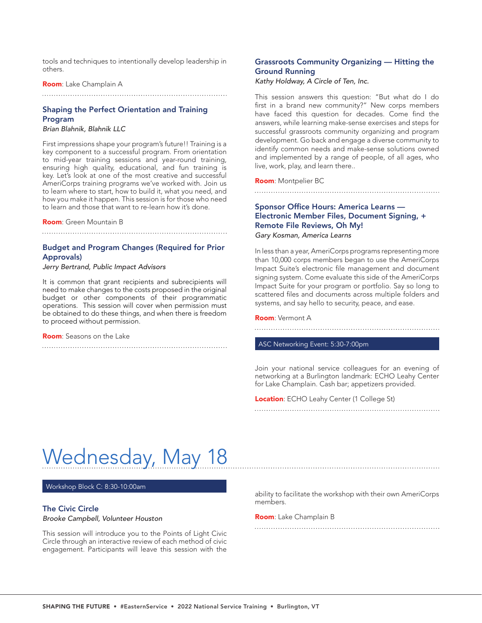tools and techniques to intentionally develop leadership in others.

Room: Lake Champlain A

#### Shaping the Perfect Orientation and Training Program

*Brian Blahnik, Blahnik LLC*

First impressions shape your program's future!! Training is a key component to a successful program. From orientation to mid-year training sessions and year-round training, ensuring high quality, educational, and fun training is key. Let's look at one of the most creative and successful AmeriCorps training programs we've worked with. Join us to learn where to start, how to build it, what you need, and how you make it happen. This session is for those who need to learn and those that want to re-learn how it's done.

Room: Green Mountain B

#### Budget and Program Changes (Required for Prior Approvals)

*Jerry Bertrand, Public Impact Advisors*

It is common that grant recipients and subrecipients will need to make changes to the costs proposed in the original budget or other components of their programmatic operations. This session will cover when permission must be obtained to do these things, and when there is freedom to proceed without permission.

Room: Seasons on the Lake

#### Grassroots Community Organizing — Hitting the Ground Running

Kathy Holdway, A Circle of Ten, Inc.

This session answers this question: "But what do I do first in a brand new community?" New corps members have faced this question for decades. Come find the answers, while learning make-sense exercises and steps for successful grassroots community organizing and program development. Go back and engage a diverse community to identify common needs and make-sense solutions owned and implemented by a range of people, of all ages, who live, work, play, and learn there..

Room: Montpelier BC

#### Sponsor Office Hours: America Learns — Electronic Member Files, Document Signing, + Remote File Reviews, Oh My! *Gary Kosman, America Learns*

In less than a year, AmeriCorps programs representing more than 10,000 corps members began to use the AmeriCorps Impact Suite's electronic file management and document signing system. Come evaluate this side of the AmeriCorps Impact Suite for your program or portfolio. Say so long to scattered files and documents across multiple folders and systems, and say hello to security, peace, and ease.

Room: Vermont A

#### ASC Networking Event: 5:30-7:00pm

Join your national service colleagues for an evening of networking at a Burlington landmark: ECHO Leahy Center for Lake Champlain. Cash bar; appetizers provided.

Location: ECHO Leahy Center (1 College St)

# Wednesday, May 18

Workshop Block C: 8:30-10:00am

#### The Civic Circle

Brooke Campbell, Volunteer Houston

This session will introduce you to the Points of Light Civic Circle through an interactive review of each method of civic engagement. Participants will leave this session with the

ability to facilitate the workshop with their own AmeriCorps members.

Room: Lake Champlain B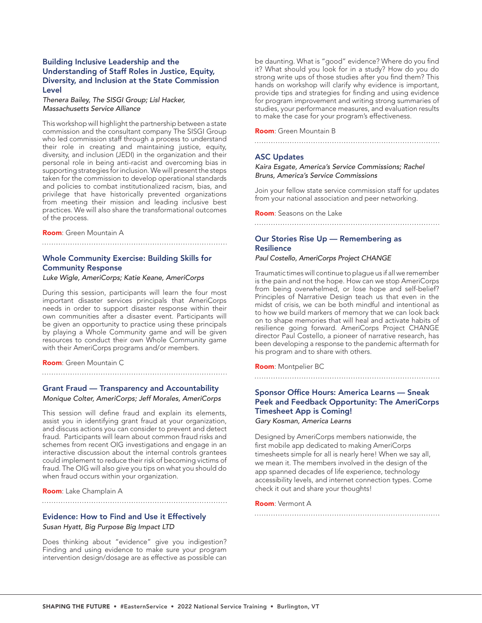#### Building Inclusive Leadership and the Understanding of Staff Roles in Justice, Equity, Diversity, and Inclusion at the State Commission Level

Thenera Bailey, The SISGI Group; Lisl Hacker, *Massachusetts Service Alliance*

This workshop will highlight the partnership between a state commission and the consultant company The SISGI Group who led commission staff through a process to understand their role in creating and maintaining justice, equity, diversity, and inclusion (JEDI) in the organization and their personal role in being anti-racist and overcoming bias in supporting strategies for inclusion. We will present the steps taken for the commission to develop operational standards and policies to combat institutionalized racism, bias, and privilege that have historically prevented organizations from meeting their mission and leading inclusive best practices. We will also share the transformational outcomes of the process.

#### Room: Green Mountain A

### Whole Community Exercise: Building Skills for Community Response

*Luke Wigle, AmeriCorps; Katie Keane, AmeriCorps*

During this session, participants will learn the four most important disaster services principals that AmeriCorps needs in order to support disaster response within their own communities after a disaster event. Participants will be given an opportunity to practice using these principals by playing a Whole Community game and will be given resources to conduct their own Whole Community game with their AmeriCorps programs and/or members.

Room: Green Mountain C

Grant Fraud — Transparency and Accountability

*Monique Colter, AmeriCorps; Jeff Morales, AmeriCorps*

This session will define fraud and explain its elements, assist you in identifying grant fraud at your organization, and discuss actions you can consider to prevent and detect fraud. Participants will learn about common fraud risks and schemes from recent OIG investigations and engage in an interactive discussion about the internal controls grantees could implement to reduce their risk of becoming victims of fraud. The OIG will also give you tips on what you should do when fraud occurs within your organization.

Room: Lake Champlain A

Evidence: How to Find and Use it Effectively Susan Hyatt, Big Purpose Big Impact LTD

Does thinking about "evidence" give you indigestion? Finding and using evidence to make sure your program intervention design/dosage are as effective as possible can

be daunting. What is "good" evidence? Where do you find it? What should you look for in a study? How do you do strong write ups of those studies after you find them? This hands on workshop will clarify why evidence is important, provide tips and strategies for finding and using evidence for program improvement and writing strong summaries of studies, your performance measures, and evaluation results to make the case for your program's effectiveness.

Room: Green Mountain B

#### ASC Updates

*Kaira Esgate, America's Service Commissions; Rachel Bruns, America's Service Commissions*

Join your fellow state service commission staff for updates from your national association and peer networking.

Room: Seasons on the Lake

#### Our Stories Rise Up — Remembering as **Resilience**

#### Paul Costello, AmeriCorps Project CHANGE

Traumatic times will continue to plague us if all we remember is the pain and not the hope. How can we stop AmeriCorps from being overwhelmed, or lose hope and self-belief? Principles of Narrative Design teach us that even in the midst of crisis, we can be both mindful and intentional as to how we build markers of memory that we can look back on to shape memories that will heal and activate habits of resilience going forward. AmeriCorps Project CHANGE director Paul Costello, a pioneer of narrative research, has been developing a response to the pandemic aftermath for his program and to share with others.

Room: Montpelier BC

#### Sponsor Office Hours: America Learns — Sneak Peek and Feedback Opportunity: The AmeriCorps Timesheet App is Coming! *Gary Kosman, America Learns*

Designed by AmeriCorps members nationwide, the first mobile app dedicated to making AmeriCorps timesheets simple for all is nearly here! When we say all, we mean it. The members involved in the design of the app spanned decades of life experience, technology accessibility levels, and internet connection types. Come check it out and share your thoughts!

Room: Vermont A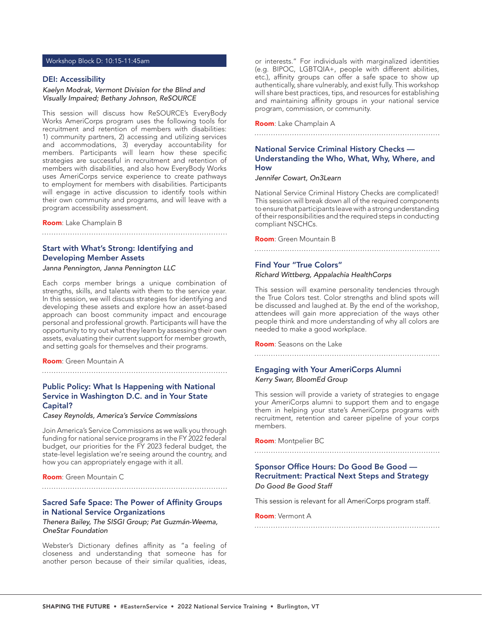#### Workshop Block D: 10:15-11:45am

#### DEI: Accessibility

#### *Kaelyn Modrak, Vermont Division for the Blind and Visually Impaired; Bethany Johnson, ReSOURCE*

This session will discuss how ReSOURCE's EveryBody Works AmeriCorps program uses the following tools for recruitment and retention of members with disabilities: 1) community partners, 2) accessing and utilizing services and accommodations, 3) everyday accountability for members. Participants will learn how these specific strategies are successful in recruitment and retention of members with disabilities, and also how EveryBody Works uses AmeriCorps service experience to create pathways to employment for members with disabilities. Participants will engage in active discussion to identify tools within their own community and programs, and will leave with a program accessibility assessment.

Room: Lake Champlain B

#### Start with What's Strong: Identifying and Developing Member Assets

*Janna Pennington, Janna Pennington LLC*

Each corps member brings a unique combination of strengths, skills, and talents with them to the service year. In this session, we will discuss strategies for identifying and developing these assets and explore how an asset-based approach can boost community impact and encourage personal and professional growth. Participants will have the opportunity to try out what they learn by assessing their own assets, evaluating their current support for member growth, and setting goals for themselves and their programs.

Room: Green Mountain A

#### Public Policy: What Is Happening with National Service in Washington D.C. and in Your State Capital?

*Casey Reynolds, America's Service Commissions*

Join America's Service Commissions as we walk you through funding for national service programs in the FY 2022 federal budget, our priorities for the FY 2023 federal budget, the state-level legislation we're seeing around the country, and how you can appropriately engage with it all.

Room: Green Mountain C

#### Sacred Safe Space: The Power of Affinity Groups in National Service Organizations

*Thenera Bailey, The SISGI Group; Pat Guzmán-Weema, OneStar Foundation*

Webster's Dictionary defines affinity as "a feeling of closeness and understanding that someone has for another person because of their similar qualities, ideas,

or interests." For individuals with marginalized identities (e.g. BIPOC, LGBTQIA+, people with different abilities, etc.), affinity groups can offer a safe space to show up authentically, share vulnerably, and exist fully. This workshop will share best practices, tips, and resources for establishing and maintaining affinity groups in your national service program, commission, or community.

Room: Lake Champlain A

#### National Service Criminal History Checks — Understanding the Who, What, Why, Where, and How

*Jennifer Cowart, On3Learn*

National Service Criminal History Checks are complicated! This session will break down all of the required components to ensure that participants leave with a strong understanding of their responsibilities and the required steps in conducting compliant NSCHCs.

Room: Green Mountain B

#### Find Your "True Colors"

#### Richard Wittberg, Appalachia HealthCorps

This session will examine personality tendencies through the True Colors test. Color strengths and blind spots will be discussed and laughed at. By the end of the workshop, attendees will gain more appreciation of the ways other people think and more understanding of why all colors are needed to make a good workplace.

Room: Seasons on the Lake

### Engaging with Your AmeriCorps Alumni *Kerry Swarr, BloomEd Group*

This session will provide a variety of strategies to engage your AmeriCorps alumni to support them and to engage them in helping your state's AmeriCorps programs with recruitment, retention and career pipeline of your corps members.

Room: Montpelier BC

#### Sponsor Office Hours: Do Good Be Good — Recruitment: Practical Next Steps and Strategy *Do Good Be Good Staff*

This session is relevant for all AmeriCorps program staff.

Room: Vermont A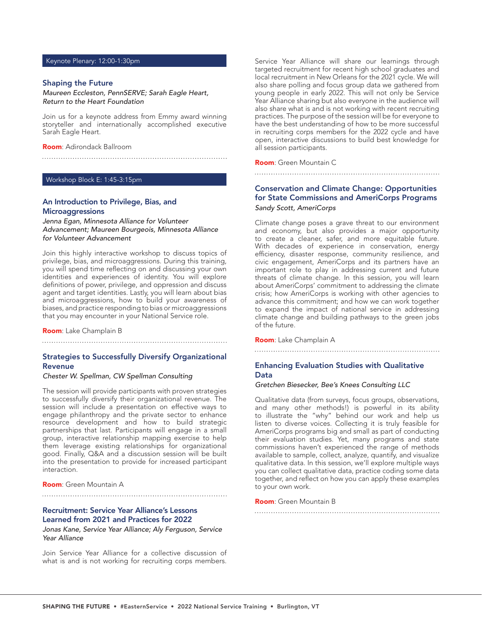#### Keynote Plenary: 12:00-1:30pm

#### Shaping the Future

Maureen Eccleston, PennSERVE; Sarah Eagle Heart, Return to the Heart Foundation

Join us for a keynote address from Emmy award winning storyteller and internationally accomplished executive Sarah Eagle Heart.

Room: Adirondack Ballroom

#### Workshop Block E: 1:45-3:15pm

#### An Introduction to Privilege, Bias, and **Microaggressions**

*Jenna Egan, Minnesota Alliance for Volunteer Advancement; Maureen Bourgeois, Minnesota Alliance for Volunteer Advancement*

Join this highly interactive workshop to discuss topics of privilege, bias, and microaggressions. During this training, you will spend time reflecting on and discussing your own identities and experiences of identity. You will explore definitions of power, privilege, and oppression and discuss agent and target identities. Lastly, you will learn about bias and microaggressions, how to build your awareness of biases, and practice responding to bias or microaggressions that you may encounter in your National Service role.

Room: Lake Champlain B

#### Strategies to Successfully Diversify Organizational Revenue

*Chester W. Spellman, CW Spellman Consulting*

The session will provide participants with proven strategies to successfully diversify their organizational revenue. The session will include a presentation on effective ways to engage philanthropy and the private sector to enhance resource development and how to build strategic partnerships that last. Participants will engage in a small group, interactive relationship mapping exercise to help them leverage existing relationships for organizational good. Finally, Q&A and a discussion session will be built into the presentation to provide for increased participant interaction.

Room: Green Mountain A

#### Recruitment: Service Year Alliance's Lessons Learned from 2021 and Practices for 2022

*Jonas Kane, Service Year Alliance; Aly Ferguson, Service Year Alliance*

Join Service Year Alliance for a collective discussion of what is and is not working for recruiting corps members.

Service Year Alliance will share our learnings through targeted recruitment for recent high school graduates and local recruitment in New Orleans for the 2021 cycle. We will also share polling and focus group data we gathered from young people in early 2022. This will not only be Service Year Alliance sharing but also everyone in the audience will also share what is and is not working with recent recruiting practices. The purpose of the session will be for everyone to have the best understanding of how to be more successful in recruiting corps members for the 2022 cycle and have open, interactive discussions to build best knowledge for all session participants.

Room: Green Mountain C

#### Conservation and Climate Change: Opportunities for State Commissions and AmeriCorps Programs *Sandy Scott, AmeriCorps*

Climate change poses a grave threat to our environment and economy, but also provides a major opportunity to create a cleaner, safer, and more equitable future. With decades of experience in conservation, energy efficiency, disaster response, community resilience, and civic engagement, AmeriCorps and its partners have an important role to play in addressing current and future threats of climate change. In this session, you will learn about AmeriCorps' commitment to addressing the climate crisis; how AmeriCorps is working with other agencies to advance this commitment; and how we can work together to expand the impact of national service in addressing climate change and building pathways to the green jobs of the future.

Room: Lake Champlain A

#### Enhancing Evaluation Studies with Qualitative Data

#### *Gretchen Biesecker, Bee's Knees Consulting LLC*

Qualitative data (from surveys, focus groups, observations, and many other methods!) is powerful in its ability to illustrate the "why" behind our work and help us listen to diverse voices. Collecting it is truly feasible for AmeriCorps programs big and small as part of conducting their evaluation studies. Yet, many programs and state commissions haven't experienced the range of methods available to sample, collect, analyze, quantify, and visualize qualitative data. In this session, we'll explore multiple ways you can collect qualitative data, practice coding some data together, and reflect on how you can apply these examples to your own work.

Room: Green Mountain B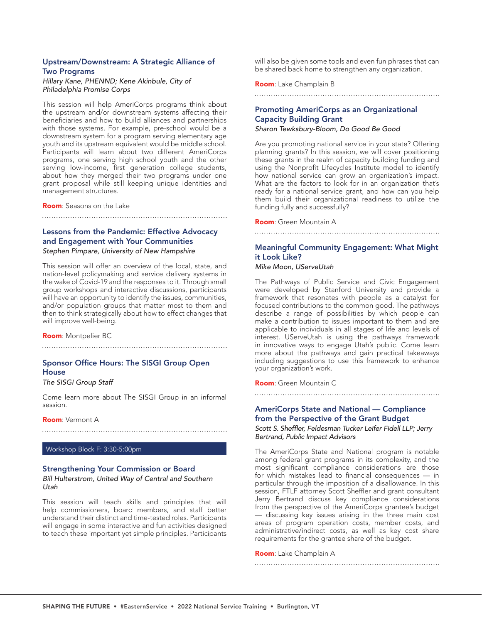#### Upstream/Downstream: A Strategic Alliance of Two Programs

#### Hillary Kane, PHENND; Kene Akinbule, City of *Philadelphia Promise Corps*

This session will help AmeriCorps programs think about the upstream and/or downstream systems affecting their beneficiaries and how to build alliances and partnerships with those systems. For example, pre-school would be a downstream system for a program serving elementary age youth and its upstream equivalent would be middle school. Participants will learn about two different AmeriCorps programs, one serving high school youth and the other serving low-income, first generation college students, about how they merged their two programs under one grant proposal while still keeping unique identities and management structures.

Room: Seasons on the Lake

# Lessons from the Pandemic: Effective Advocacy and Engagement with Your Communities

Stephen Pimpare, University of New Hampshire

This session will offer an overview of the local, state, and nation-level policymaking and service delivery systems in the wake of Covid-19 and the responses to it. Through small group workshops and interactive discussions, participants will have an opportunity to identify the issues, communities, and/or population groups that matter most to them and then to think strategically about how to effect changes that will improve well-being.

Room: Montpelier BC

## Sponsor Office Hours: The SISGI Group Open **House**

### *The SISGI Group Staff*

Come learn more about The SISGI Group in an informal session.

Room: Vermont A

#### Workshop Block F: 3:30-5:00pm

#### Strengthening Your Commission or Board

#### Bill Hulterstrom, United Way of Central and Southern *Utah*

This session will teach skills and principles that will help commissioners, board members, and staff better understand their distinct and time-tested roles. Participants will engage in some interactive and fun activities designed to teach these important yet simple principles. Participants will also be given some tools and even fun phrases that can be shared back home to strengthen any organization.

Room: Lake Champlain B

## Promoting AmeriCorps as an Organizational Capacity Building Grant

*Sharon Tewksbury-Bloom, Do Good Be Good*

Are you promoting national service in your state? Offering planning grants? In this session, we will cover positioning these grants in the realm of capacity building funding and using the Nonprofit Lifecycles Institute model to identify how national service can grow an organization's impact. What are the factors to look for in an organization that's ready for a national service grant, and how can you help them build their organizational readiness to utilize the funding fully and successfully?

Room: Green Mountain A

# 

#### Meaningful Community Engagement: What Might it Look Like?

*Mike Moon, UServeUtah*

The Pathways of Public Service and Civic Engagement were developed by Stanford University and provide a framework that resonates with people as a catalyst for focused contributions to the common good. The pathways describe a range of possibilities by which people can make a contribution to issues important to them and are applicable to individuals in all stages of life and levels of interest. UServeUtah is using the pathways framework in innovative ways to engage Utah's public. Come learn more about the pathways and gain practical takeaways including suggestions to use this framework to enhance your organization's work.

Room: Green Mountain C

#### AmeriCorps State and National — Compliance from the Perspective of the Grant Budget

Scott S. Sheffler, Feldesman Tucker Leifer Fidell LLP; Jerry *Bertrand, Public Impact Advisors*

The AmeriCorps State and National program is notable among federal grant programs in its complexity, and the most significant compliance considerations are those for which mistakes lead to financial consequences — in particular through the imposition of a disallowance. In this session, FTLF attorney Scott Sheffler and grant consultant Jerry Bertrand discuss key compliance considerations from the perspective of the AmeriCorps grantee's budget — discussing key issues arising in the three main cost areas of program operation costs, member costs, and administrative/indirect costs, as well as key cost share requirements for the grantee share of the budget.

Room: Lake Champlain A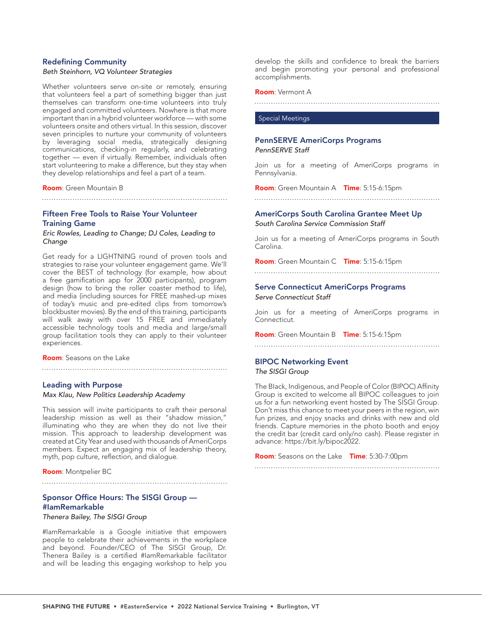#### Redefining Community

#### *Beth Steinhorn, VQ Volunteer Strategies*

Whether volunteers serve on-site or remotely, ensuring that volunteers feel a part of something bigger than just themselves can transform one-time volunteers into truly engaged and committed volunteers. Nowhere is that more important than in a hybrid volunteer workforce — with some volunteers onsite and others virtual. In this session, discover seven principles to nurture your community of volunteers by leveraging social media, strategically designing communications, checking-in regularly, and celebrating together — even if virtually. Remember, individuals often start volunteering to make a difference, but they stay when they develop relationships and feel a part of a team.

Room: Green Mountain B

#### Fifteen Free Tools to Raise Your Volunteer Training Game

#### *Eric Rowles, Leading to Change; DJ Coles, Leading to Change*

Get ready for a LIGHTNING round of proven tools and strategies to raise your volunteer engagement game. We'll cover the BEST of technology (for example, how about a free gamification app for 2000 participants), program design (how to bring the roller coaster method to life), and media (including sources for FREE mashed-up mixes of today's music and pre-edited clips from tomorrow's blockbuster movies). By the end of this training, participants will walk away with over 15 FREE and immediately accessible technology tools and media and large/small group facilitation tools they can apply to their volunteer experiences.

Room: Seasons on the Lake

#### Leading with Purpose

#### *Max Klau, New Politics Leadership Academy*

This session will invite participants to craft their personal leadership mission as well as their "shadow mission," illuminating who they are when they do not live their mission. This approach to leadership development was created at City Year and used with thousands of AmeriCorps members. Expect an engaging mix of leadership theory, myth, pop culture, reflection, and dialogue.

Room: Montpelier BC

#### Sponsor Office Hours: The SISGI Group — #IamRemarkable

*Thenera Bailey, The SISGI Group* 

#IamRemarkable is a Google initiative that empowers people to celebrate their achievements in the workplace and beyond. Founder/CEO of The SISGI Group, Dr. Thenera Bailey is a certified #IamRemarkable facilitator and will be leading this engaging workshop to help you

develop the skills and confidence to break the barriers and begin promoting your personal and professional accomplishments.

#### Room: Vermont A

#### Special Meetings

#### PennSERVE AmeriCorps Programs *PennSERVE Staff*

Join us for a meeting of AmeriCorps programs in Pennsylvania.

Room: Green Mountain A Time: 5:15-6:15pm 

AmeriCorps South Carolina Grantee Meet Up *South Carolina Service Commission Staff*

Join us for a meeting of AmeriCorps programs in South Carolina.

Room: Green Mountain C Time: 5:15-6:15pm

### 

### Serve Connecticut AmeriCorps Programs

*Serve Connecticut Staff*

Join us for a meeting of AmeriCorps programs in Connecticut.

Room: Green Mountain B Time: 5:15-6:15pm

#### BIPOC Networking Event *The SISGI Group*

The BIack, Indigenous, and People of Color (BIPOC) Affinity Group is excited to welcome all BIPOC colleagues to join us for a fun networking event hosted by The SISGI Group. Don't miss this chance to meet your peers in the region, win fun prizes, and enjoy snacks and drinks with new and old friends. Capture memories in the photo booth and enjoy the credit bar (credit card only/no cash). Please register in advance: https://bit.ly/bipoc2022.

Room: Seasons on the Lake Time: 5:30-7:00pm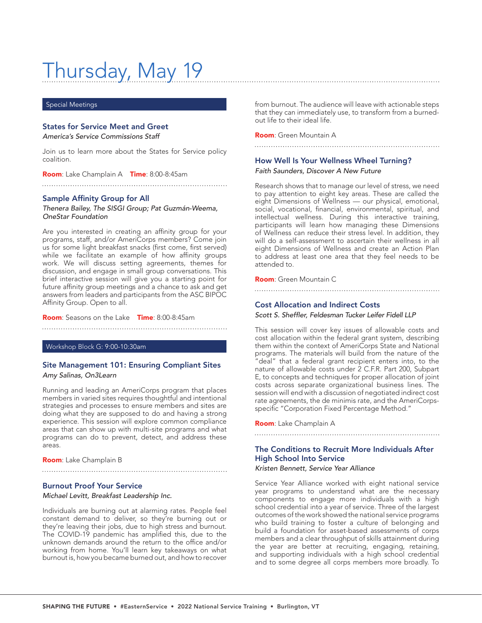# Thursday, May 19

#### Special Meetings

#### States for Service Meet and Greet

*America's Service Commissions Staff*

Join us to learn more about the States for Service policy coalition.

Room: Lake Champlain A Time: 8:00-8:45am

#### Sample Affinity Group for All

*Thenera Bailey, The SISGI Group; Pat Guzmán-Weema, OneStar Foundation*

Are you interested in creating an affinity group for your programs, staff, and/or AmeriCorps members? Come join us for some light breakfast snacks (first come, first served) while we facilitate an example of how affinity groups work. We will discuss setting agreements, themes for discussion, and engage in small group conversations. This brief interactive session will give you a starting point for future affinity group meetings and a chance to ask and get answers from leaders and participants from the ASC BIPOC Affinity Group. Open to all.

Room: Seasons on the Lake Time: 8:00-8:45am

Workshop Block G: 9:00-10:30am

#### Site Management 101: Ensuring Compliant Sites *Amy Salinas, On3Learn*

Running and leading an AmeriCorps program that places members in varied sites requires thoughtful and intentional strategies and processes to ensure members and sites are doing what they are supposed to do and having a strong experience. This session will explore common compliance areas that can show up with multi-site programs and what programs can do to prevent, detect, and address these areas.

Room: Lake Champlain B

#### Burnout Proof Your Service

*Michael Levitt, Breakfast Leadership Inc.*

Individuals are burning out at alarming rates. People feel constant demand to deliver, so they're burning out or they're leaving their jobs, due to high stress and burnout. The COVID-19 pandemic has amplified this, due to the unknown demands around the return to the office and/or working from home. You'll learn key takeaways on what burnout is, how you became burned out, and how to recover

from burnout. The audience will leave with actionable steps that they can immediately use, to transform from a burnedout life to their ideal life.

Room: Green Mountain A

# How Well Is Your Wellness Wheel Turning?

*Faith Saunders, Discover A New Future*

Research shows that to manage our level of stress, we need to pay attention to eight key areas. These are called the eight Dimensions of Wellness — our physical, emotional, social, vocational, financial, environmental, spiritual, and intellectual wellness. During this interactive training, participants will learn how managing these Dimensions of Wellness can reduce their stress level. In addition, they will do a self-assessment to ascertain their wellness in all eight Dimensions of Wellness and create an Action Plan to address at least one area that they feel needs to be attended to.

Room: Green Mountain C

Cost Allocation and Indirect Costs Scott S. Sheffler, Feldesman Tucker Leifer Fidell LLP

This session will cover key issues of allowable costs and cost allocation within the federal grant system, describing them within the context of AmeriCorps State and National programs. The materials will build from the nature of the "deal" that a federal grant recipient enters into, to the nature of allowable costs under 2 C.F.R. Part 200, Subpart E, to concepts and techniques for proper allocation of joint costs across separate organizational business lines. The session will end with a discussion of negotiated indirect cost rate agreements, the de minimis rate, and the AmeriCorpsspecific "Corporation Fixed Percentage Method."

Room: Lake Champlain A

### The Conditions to Recruit More Individuals After High School Into Service

*Kristen Bennett, Service Year Alliance*

Service Year Alliance worked with eight national service year programs to understand what are the necessary components to engage more individuals with a high school credential into a year of service. Three of the largest outcomes of the work showed the national service programs who build training to foster a culture of belonging and build a foundation for asset-based assessments of corps members and a clear throughput of skills attainment during the year are better at recruiting, engaging, retaining, and supporting individuals with a high school credential and to some degree all corps members more broadly. To